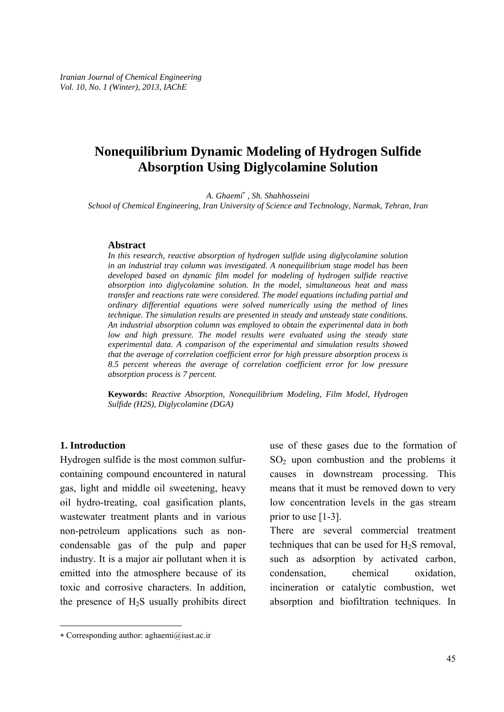# **Nonequilibrium Dynamic Modeling of Hydrogen Sulfide Absorption Using Diglycolamine Solution**

*A. Ghaemi*<sup>∗</sup>  *, Sh. Shahhosseini* 

*School of Chemical Engineering, Iran University of Science and Technology, Narmak, Tehran, Iran* 

#### **Abstract**

*In this research, reactive absorption of hydrogen sulfide using diglycolamine solution in an industrial tray column was investigated. A nonequilibrium stage model has been developed based on dynamic film model for modeling of hydrogen sulfide reactive absorption into diglycolamine solution. In the model, simultaneous heat and mass transfer and reactions rate were considered. The model equations including partial and ordinary differential equations were solved numerically using the method of lines technique. The simulation results are presented in steady and unsteady state conditions. An industrial absorption column was employed to obtain the experimental data in both low and high pressure. The model results were evaluated using the steady state experimental data. A comparison of the experimental and simulation results showed that the average of correlation coefficient error for high pressure absorption process is 8.5 percent whereas the average of correlation coefficient error for low pressure absorption process is 7 percent.* 

**Keywords:** *Reactive Absorption, Nonequilibrium Modeling, Film Model, Hydrogen Sulfide (H2S), Diglycolamine (DGA)* 

#### **1. Introduction**

-

Hydrogen sulfide is the most common sulfurcontaining compound encountered in natural gas, light and middle oil sweetening, heavy oil hydro-treating, coal gasification plants, wastewater treatment plants and in various non-petroleum applications such as noncondensable gas of the pulp and paper industry. It is a major air pollutant when it is emitted into the atmosphere because of its toxic and corrosive characters. In addition, the presence of  $H_2S$  usually prohibits direct use of these gases due to the formation of  $SO<sub>2</sub>$  upon combustion and the problems it causes in downstream processing. This means that it must be removed down to very low concentration levels in the gas stream prior to use [1-3].

There are several commercial treatment techniques that can be used for  $H_2S$  removal, such as adsorption by activated carbon, condensation, chemical oxidation, incineration or catalytic combustion, wet absorption and biofiltration techniques. In

<sup>∗</sup> Corresponding author: aghaemi@iust.ac.ir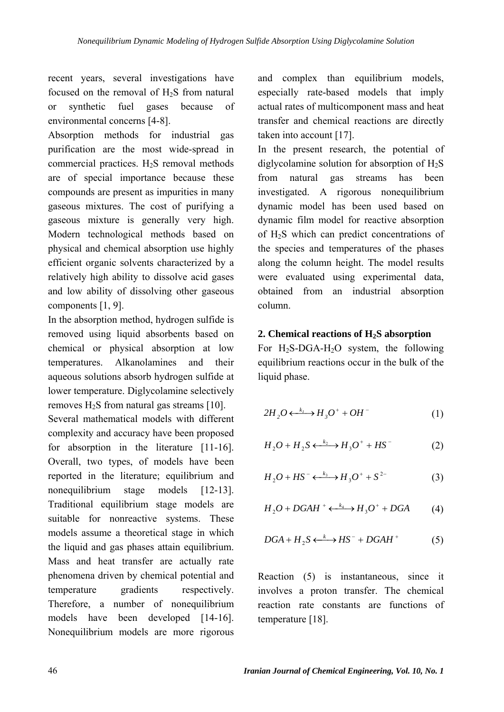recent years, several investigations have focused on the removal of H<sub>2</sub>S from natural or synthetic fuel gases because of environmental concerns [4-8].

Absorption methods for industrial gas purification are the most wide-spread in commercial practices.  $H_2S$  removal methods are of special importance because these compounds are present as impurities in many gaseous mixtures. The cost of purifying a gaseous mixture is generally very high. Modern technological methods based on physical and chemical absorption use highly efficient organic solvents characterized by a relatively high ability to dissolve acid gases and low ability of dissolving other gaseous components [1, 9].

In the absorption method, hydrogen sulfide is removed using liquid absorbents based on chemical or physical absorption at low temperatures. Alkanolamines and their aqueous solutions absorb hydrogen sulfide at lower temperature. Diglycolamine selectively removes  $H_2S$  from natural gas streams [10].

Several mathematical models with different complexity and accuracy have been proposed for absorption in the literature [11-16]. Overall, two types, of models have been reported in the literature; equilibrium and nonequilibrium stage models [12-13]. Traditional equilibrium stage models are suitable for nonreactive systems. These models assume a theoretical stage in which the liquid and gas phases attain equilibrium. Mass and heat transfer are actually rate phenomena driven by chemical potential and temperature gradients respectively. Therefore, a number of nonequilibrium models have been developed [14-16]. Nonequilibrium models are more rigorous

and complex than equilibrium models, especially rate-based models that imply actual rates of multicomponent mass and heat transfer and chemical reactions are directly taken into account [17].

In the present research, the potential of diglycolamine solution for absorption of  $H<sub>2</sub>S$ from natural gas streams has been investigated. A rigorous nonequilibrium dynamic model has been used based on dynamic film model for reactive absorption of H2S which can predict concentrations of the species and temperatures of the phases along the column height. The model results were evaluated using experimental data, obtained from an industrial absorption column.

### **2. Chemical reactions of H2S absorption**

For  $H_2S-DGA-H_2O$  system, the following equilibrium reactions occur in the bulk of the liquid phase.

$$
2H_2O \xleftarrow{k_l} H_3O^+ + OH^-
$$
 (1)

$$
H_2O + H_2S \xleftarrow{k_2} H_3O^+ + HS^-
$$
 (2)

$$
H_2O + HS^- \xleftarrow{k_3} H_3O^+ + S^{2-} \tag{3}
$$

$$
H_2O + DGAH^+ \longleftrightarrow H_3O^+ + DGA \tag{4}
$$

$$
DGA + H_2S \longleftrightarrow HS^- + DGAH^+ \tag{5}
$$

Reaction (5) is instantaneous, since it involves a proton transfer. The chemical reaction rate constants are functions of temperature [18].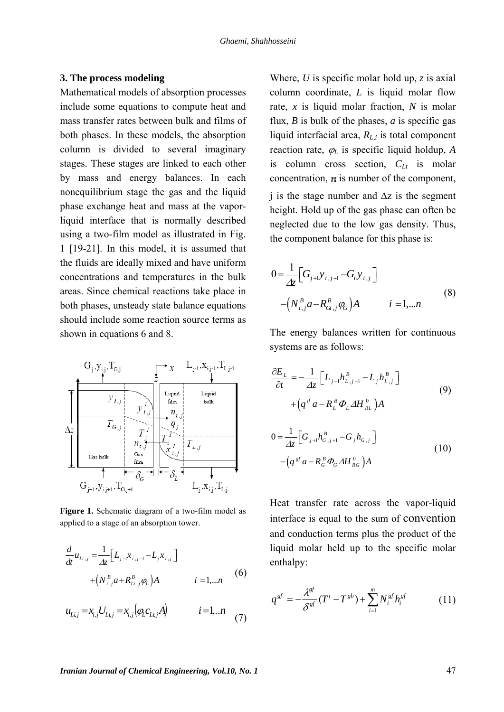#### **3. The process modeling**

Mathematical models of absorption processes include some equations to compute heat and mass transfer rates between bulk and films of both phases. In these models, the absorption column is divided to several imaginary stages. These stages are linked to each other by mass and energy balances. In each nonequilibrium stage the gas and the liquid phase exchange heat and mass at the vaporliquid interface that is normally described using a two-film model as illustrated in Fig. 1 [19-21]. In this model, it is assumed that the fluids are ideally mixed and have uniform concentrations and temperatures in the bulk areas. Since chemical reactions take place in both phases, unsteady state balance equations should include some reaction source terms as shown in equations 6 and 8.



**Figure 1.** Schematic diagram of a two-film model as applied to a stage of an absorption tower.

$$
\frac{d}{dt}u_{Li,j} = \frac{1}{\Delta z} \Big[ L_{j-1}x_{i,j-1} - L_j x_{i,j} \Big] + \Big( N_{i,j}^B a + R_{Li,j}^B \varphi_L \Big) A \qquad i = 1,...n
$$
 (6)

$$
u_{L i,j} = x_{i,j} U_{L i,j} = x_{i,j} (q_L c_{L i,j} A) \qquad i = 1...n \tag{7}
$$

Where, *U* is specific molar hold up, *z* is axial column coordinate, *L* is liquid molar flow rate, *x* is liquid molar fraction, *N* is molar flux, *B* is bulk of the phases, *a* is specific gas liquid interfacial area, *RL,i* is total component reaction rate,  $\varphi_L$  is specific liquid holdup, *A* is column cross section,  $C_{Lt}$  is molar concentration,  $\boldsymbol{n}$  is number of the component, j is the stage number and  $\Delta z$  is the segment height. Hold up of the gas phase can often be neglected due to the low gas density. Thus, the component balance for this phase is:

$$
0 = \frac{1}{\Delta \zeta} \Big[ G_{j+1} y_{i,j+1} - G_i y_{i,j} \Big] - \Big( N_{i,j}^B a - R_{Gi,j}^B \varphi_G \Big) A \qquad i = 1,...n
$$
 (8)

The energy balances written for continuous systems are as follows:

$$
\frac{\partial E_L}{\partial t} = -\frac{1}{\Delta z} \Big[ L_{j-1} h_{L,j-1}^B - L_j h_{L,j}^B \Big] + \Big( q^{\{f\}} a - R_L^{\{B\}} \Phi_L \Delta H_{RL}^0 \Big) A 0 = \frac{1}{\Delta z} \Big[ G_{j+1} h_{G,j+1}^B - G_j h_{G,j} \Big]
$$
(10)

 $-\left( q\, {^{gf}\,a} - {R\,}^{\,B}_{\,G}\, \varPhi_{\!G}\, A H\,{}^0_{\,RG}\, \right) \! A$ 

Heat transfer rate across the vapor-liquid interface is equal to the sum of convention and conduction terms plus the product of the liquid molar held up to the specific molar enthalpy:

$$
q^{gf} = -\frac{\lambda^{gf}}{\delta^{gf}}(T^i - T^{gb}) + \sum_{i=1}^m N_i^{gf} h_i^{gf}
$$
 (11)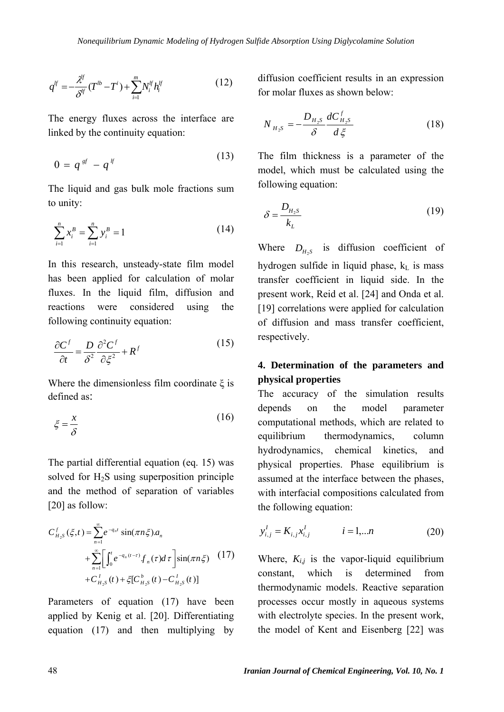$(13)$ 

$$
q^{lf} = -\frac{\lambda^{lf}}{\delta^{lf}}(T^{lb} - T^i) + \sum_{i=1}^{m} N_i^{lf} h_i^{lf}
$$
 (12)

The energy fluxes across the interface are linked by the continuity equation:

$$
0 = q^{\mathit{sf}} - q^{\mathit{lf}} \tag{13}
$$

The liquid and gas bulk mole fractions sum to unity:

$$
\sum_{i=1}^{n} x_i^B = \sum_{i=1}^{n} y_i^B = 1
$$
 (14)

In this research, unsteady-state film model has been applied for calculation of molar fluxes. In the liquid film, diffusion and reactions were considered using the following continuity equation:

$$
\frac{\partial C^f}{\partial t} = \frac{D}{\delta^2} \frac{\partial^2 C^f}{\partial \xi^2} + R^f \tag{15}
$$

Where the dimensionless film coordinate  $\xi$  is defined as:

$$
\xi = \frac{x}{\delta} \tag{16}
$$

The partial differential equation (eq. 15) was solved for  $H_2S$  using superposition principle and the method of separation of variables [20] as follow:

$$
C_{H_2S}^f(\xi,t) = \sum_{n=1}^{\infty} e^{-q_n t} \sin(\pi n \xi) a_n
$$
  
+ 
$$
\sum_{n=1}^{\infty} \left[ \int_0^t e^{-q_n (t-\tau)} f_n(\tau) d\tau \right] \sin(\pi n \xi) \quad (17)
$$
  
+ 
$$
C_{H_2S}^I(t) + \xi [C_{H_2S}^b(t) - C_{H_2S}^I(t)]
$$

Parameters of equation (17) have been applied by Kenig et al. [20]. Differentiating equation (17) and then multiplying by diffusion coefficient results in an expression for molar fluxes as shown below:

$$
N_{H_2S} = -\frac{D_{H_2S}}{\delta} \frac{dC_{H_2S}^f}{d\xi}
$$
 (18)

The film thickness is a parameter of the model, which must be calculated using the following equation:

$$
\delta = \frac{D_{H_2 S}}{k_L} \tag{19}
$$

Where  $D_{H-S}$  is diffusion coefficient of hydrogen sulfide in liquid phase,  $k<sub>L</sub>$  is mass transfer coefficient in liquid side. In the present work, Reid et al. [24] and Onda et al. [19] correlations were applied for calculation of diffusion and mass transfer coefficient, respectively.

## **4. Determination of the parameters and physical properties**

The accuracy of the simulation results depends on the model parameter computational methods, which are related to equilibrium thermodynamics, column hydrodynamics, chemical kinetics, and physical properties. Phase equilibrium is assumed at the interface between the phases, with interfacial compositions calculated from the following equation:

$$
y_{i,j}^I = K_{i,j} x_{i,j}^I \qquad i = 1,...n \qquad (20)
$$

Where,  $K_{i,j}$  is the vapor-liquid equilibrium constant, which is determined from thermodynamic models. Reactive separation processes occur mostly in aqueous systems with electrolyte species. In the present work, the model of Kent and Eisenberg [22] was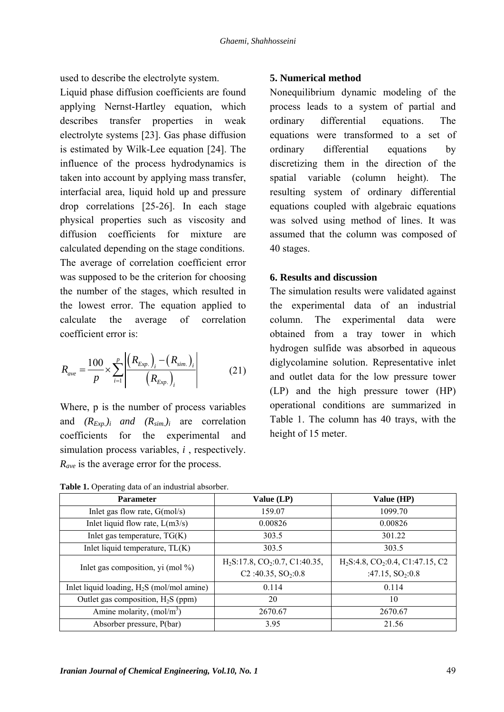used to describe the electrolyte system.

Liquid phase diffusion coefficients are found applying Nernst-Hartley equation, which describes transfer properties in weak electrolyte systems [23]. Gas phase diffusion is estimated by Wilk-Lee equation [24]. The influence of the process hydrodynamics is taken into account by applying mass transfer, interfacial area, liquid hold up and pressure drop correlations [25-26]. In each stage physical properties such as viscosity and diffusion coefficients for mixture are calculated depending on the stage conditions. The average of correlation coefficient error was supposed to be the criterion for choosing the number of the stages, which resulted in the lowest error. The equation applied to calculate the average of correlation coefficient error is:

$$
R_{ave} = \frac{100}{p} \times \sum_{i=1}^{p} \left| \frac{(R_{Exp.})_i - (R_{sim.})_i}{(R_{Exp.})_i} \right| \tag{21}
$$

Where, p is the number of process variables and  $(R_{Exp.})_i$  *and*  $(R_{sim.})_i$  are correlation coefficients for the experimental and simulation process variables, *i* , respectively. *R<sub>ave</sub>* is the average error for the process.

### **5. Numerical method**

Nonequilibrium dynamic modeling of the process leads to a system of partial and ordinary differential equations. The equations were transformed to a set of ordinary differential equations by discretizing them in the direction of the spatial variable (column height). The resulting system of ordinary differential equations coupled with algebraic equations was solved using method of lines. It was assumed that the column was composed of 40 stages.

### **6. Results and discussion**

The simulation results were validated against the experimental data of an industrial column. The experimental data were obtained from a tray tower in which hydrogen sulfide was absorbed in aqueous diglycolamine solution. Representative inlet and outlet data for the low pressure tower (LP) and the high pressure tower (HP) operational conditions are summarized in Table 1. The column has 40 trays, with the height of 15 meter.

| Table 1. Operating data of an industrial absorber. |  |  |  |
|----------------------------------------------------|--|--|--|
|----------------------------------------------------|--|--|--|

| <b>Parameter</b>                             | Value $(LP)$                                   | Value (HP)                                               |
|----------------------------------------------|------------------------------------------------|----------------------------------------------------------|
| Inlet gas flow rate, $G(mol/s)$              | 159.07                                         | 1099.70                                                  |
| Inlet liquid flow rate, $L(m3/s)$            | 0.00826                                        | 0.00826                                                  |
| Inlet gas temperature, $TG(K)$               | 303.5                                          | 301.22                                                   |
| Inlet liquid temperature, $TL(K)$            | 303.5                                          | 303.5                                                    |
| Inlet gas composition, yi (mol $\%$ )        | $H_2S: 17.8$ , CO <sub>2</sub> :0.7, C1:40.35, | H <sub>2</sub> S:4.8, CO <sub>2</sub> :0.4, C1:47.15, C2 |
|                                              | C <sub>2</sub> :40.35, $SO_2:0.8$              | :47.15, $SO_2:0.8$                                       |
| Inlet liquid loading, $H_2S$ (mol/mol amine) | 0.114                                          | 0.114                                                    |
| Outlet gas composition, $H_2S$ (ppm)         | 20                                             | 10                                                       |
| Amine molarity, $(mol/m3)$                   | 2670.67                                        | 2670.67                                                  |
| Absorber pressure, P(bar)                    | 3.95                                           | 21.56                                                    |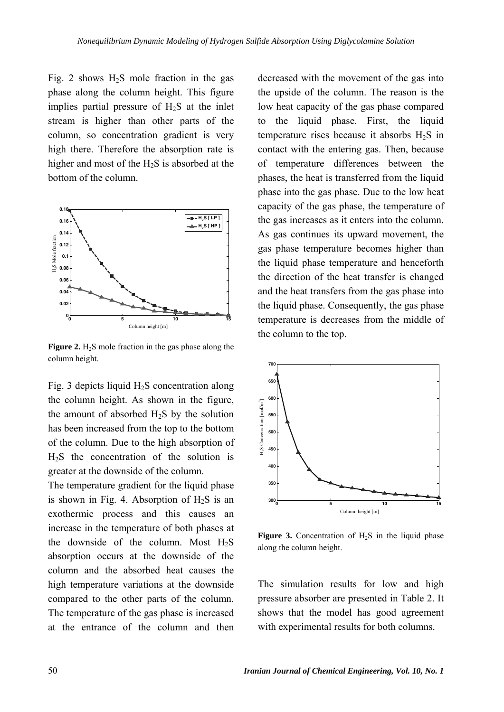Fig. 2 shows  $H_2S$  mole fraction in the gas phase along the column height. This figure implies partial pressure of  $H_2S$  at the inlet stream is higher than other parts of the column, so concentration gradient is very high there. Therefore the absorption rate is higher and most of the H2S is absorbed at the bottom of the column.



**Figure 2.**  $H_2S$  mole fraction in the gas phase along the column height.

Fig. 3 depicts liquid  $H_2S$  concentration along the column height. As shown in the figure, the amount of absorbed  $H_2S$  by the solution has been increased from the top to the bottom of the column. Due to the high absorption of  $H<sub>2</sub>S$  the concentration of the solution is greater at the downside of the column.

The temperature gradient for the liquid phase is shown in Fig. 4. Absorption of  $H_2S$  is an exothermic process and this causes an increase in the temperature of both phases at the downside of the column. Most  $H<sub>2</sub>S$ absorption occurs at the downside of the column and the absorbed heat causes the high temperature variations at the downside compared to the other parts of the column. The temperature of the gas phase is increased at the entrance of the column and then

decreased with the movement of the gas into the upside of the column. The reason is the low heat capacity of the gas phase compared to the liquid phase. First, the liquid temperature rises because it absorbs  $H_2S$  in contact with the entering gas. Then, because of temperature differences between the phases, the heat is transferred from the liquid phase into the gas phase. Due to the low heat capacity of the gas phase, the temperature of the gas increases as it enters into the column. As gas continues its upward movement, the gas phase temperature becomes higher than the liquid phase temperature and henceforth the direction of the heat transfer is changed and the heat transfers from the gas phase into the liquid phase. Consequently, the gas phase temperature is decreases from the middle of the column to the top.



**Figure 3.** Concentration of  $H_2S$  in the liquid phase along the column height.

The simulation results for low and high pressure absorber are presented in Table 2. It shows that the model has good agreement with experimental results for both columns.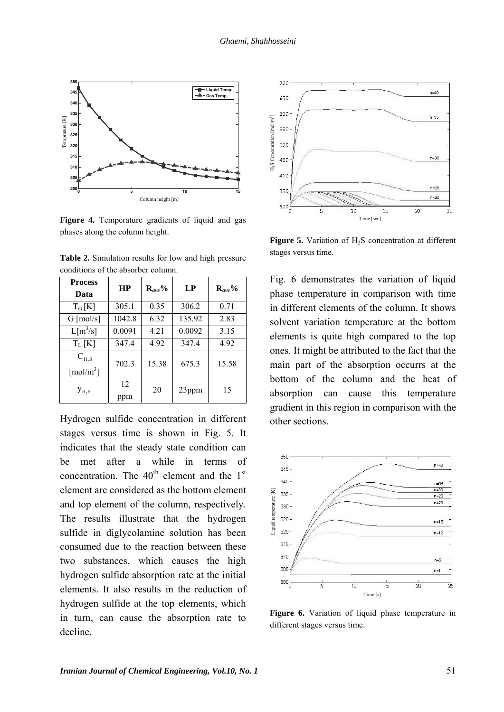

**Figure 4.** Temperature gradients of liquid and gas phases along the column height.

| <b>Process</b><br>Data                       | <b>HP</b> | $\mathbf{R}_{ave}$ % | LP     | $\mathbf{R}_{ave}$ % |
|----------------------------------------------|-----------|----------------------|--------|----------------------|
| $T_G[K]$                                     | 305.1     | 0.35                 | 306.2  | 0.71                 |
| $G \text{ [mol/s]}$                          | 1042.8    | 6.32                 | 135.92 | 2.83                 |
| $L[m^3/s]$                                   | 0.0091    | 4.21                 | 0.0092 | 3.15                 |
| $T_L[K]$                                     | 347.4     | 4.92                 | 347.4  | 4.92                 |
| $C_{H_2S}$<br>$\lceil \text{mol/m}^3 \rceil$ | 702.3     | 15.38                | 675.3  | 15.58                |
| $y_{H,S}$                                    | 12<br>ppm | 20                   | 23ppm  | 15                   |

**Table 2.** Simulation results for low and high pressure conditions of the absorber column.

Hydrogen sulfide concentration in different stages versus time is shown in Fig. 5. It indicates that the steady state condition can be met after a while in terms of concentration. The  $40<sup>th</sup>$  element and the 1<sup>st</sup> element are considered as the bottom element and top element of the column, respectively. The results illustrate that the hydrogen sulfide in diglycolamine solution has been consumed due to the reaction between these two substances, which causes the high hydrogen sulfide absorption rate at the initial elements. It also results in the reduction of hydrogen sulfide at the top elements, which in turn, can cause the absorption rate to decline.



Figure 5. Variation of H<sub>2</sub>S concentration at different stages versus time.

Fig. 6 demonstrates the variation of liquid phase temperature in comparison with time in different elements of the column. It shows solvent variation temperature at the bottom elements is quite high compared to the top ones. It might be attributed to the fact that the main part of the absorption occurrs at the bottom of the column and the heat of absorption can cause this temperature gradient in this region in comparison with the other sections.



**Figure 6.** Variation of liquid phase temperature in different stages versus time.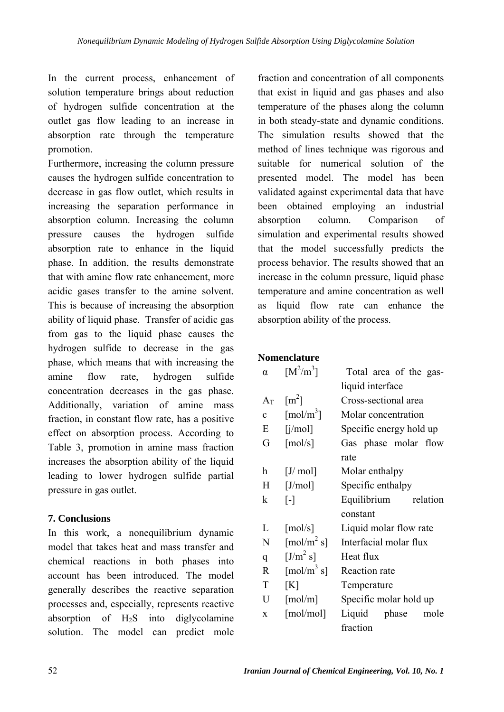In the current process, enhancement of solution temperature brings about reduction of hydrogen sulfide concentration at the outlet gas flow leading to an increase in absorption rate through the temperature promotion.

Furthermore, increasing the column pressure causes the hydrogen sulfide concentration to decrease in gas flow outlet, which results in increasing the separation performance in absorption column. Increasing the column pressure causes the hydrogen sulfide absorption rate to enhance in the liquid phase. In addition, the results demonstrate that with amine flow rate enhancement, more acidic gases transfer to the amine solvent. This is because of increasing the absorption ability of liquid phase. Transfer of acidic gas from gas to the liquid phase causes the hydrogen sulfide to decrease in the gas phase, which means that with increasing the amine flow rate, hydrogen sulfide concentration decreases in the gas phase. Additionally, variation of amine mass fraction, in constant flow rate, has a positive effect on absorption process. According to Table 3, promotion in amine mass fraction increases the absorption ability of the liquid leading to lower hydrogen sulfide partial pressure in gas outlet.

## **7. Conclusions**

In this work, a nonequilibrium dynamic model that takes heat and mass transfer and chemical reactions in both phases into account has been introduced. The model generally describes the reactive separation processes and, especially, represents reactive absorption of  $H_2S$  into diglycolamine solution. The model can predict mole

fraction and concentration of all components that exist in liquid and gas phases and also temperature of the phases along the column in both steady-state and dynamic conditions. The simulation results showed that the method of lines technique was rigorous and suitable for numerical solution of the presented model. The model has been validated against experimental data that have been obtained employing an industrial absorption column. Comparison of simulation and experimental results showed that the model successfully predicts the process behavior. The results showed that an increase in the column pressure, liquid phase temperature and amine concentration as well as liquid flow rate can enhance the absorption ability of the process.

## **Nomenclature**

| $\alpha$     | $[M^2/m^3]$                            | Total area of the gas-  |  |  |
|--------------|----------------------------------------|-------------------------|--|--|
|              |                                        | liquid interface        |  |  |
| $A_T$        | $\lceil m^2 \rceil$                    | Cross-sectional area    |  |  |
| $\mathbf{c}$ | $\lceil \text{mol/m}^3 \rceil$         | Molar concentration     |  |  |
| E            | [i/mol]                                | Specific energy hold up |  |  |
| G            | [mol/s]                                | Gas phase molar flow    |  |  |
|              |                                        | rate                    |  |  |
| h            | [J/ mol]                               | Molar enthalpy          |  |  |
| H            | [J/mol]                                | Specific enthalpy       |  |  |
| k            | $\lceil - \rceil$                      | Equilibrium relation    |  |  |
|              |                                        | constant                |  |  |
| L            | $\lceil \text{mol/s} \rceil$           | Liquid molar flow rate  |  |  |
| N            | $\left[\text{mol/m}^2\text{ s}\right]$ | Interfacial molar flux  |  |  |
| q            | $[J/m^2 s]$                            | Heat flux               |  |  |
| $\mathbf R$  | $\left[\text{mol/m}^3\text{ s}\right]$ | Reaction rate           |  |  |
| T            | [K]                                    | Temperature             |  |  |
| U            | $\lceil \text{mol/m} \rceil$           | Specific molar hold up  |  |  |
| X            | [mol/mol]                              | Liquid phase<br>mole    |  |  |
|              |                                        | fraction                |  |  |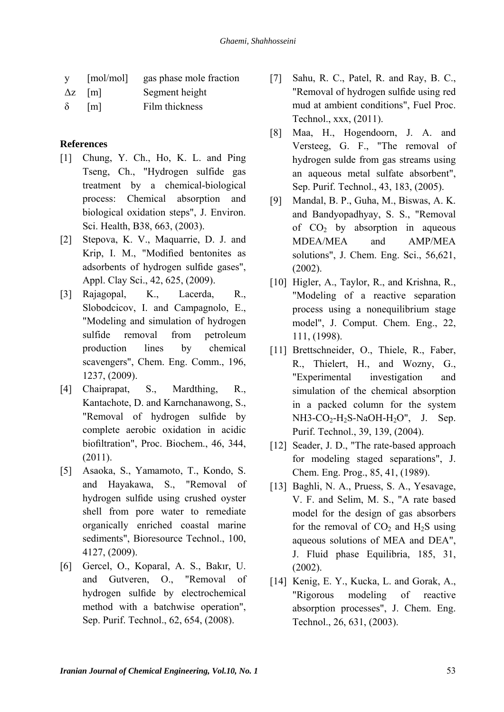| <b>V</b> | [mol/mol]     | gas phase mole fraction |
|----------|---------------|-------------------------|
|          | $\Delta z$  m | Segment height          |
|          | $\delta$ [m]  | Film thickness          |

### **References**

- [1] Chung, Y. Ch., Ho, K. L. and Ping Tseng, Ch., "Hydrogen sulfide gas treatment by a chemical-biological process: Chemical absorption and biological oxidation steps", J. Environ. Sci. Health, B38, 663, (2003).
- [2] Stepova, K. V., Maquarrie, D. J. and Krip, I. M., "Modified bentonites as adsorbents of hydrogen sulfide gases", Appl. Clay Sci., 42, 625, (2009).
- [3] Rajagopal, K., Lacerda, R., Slobodcicov, I. and Campagnolo, E., "Modeling and simulation of hydrogen sulfide removal from petroleum production lines by chemical scavengers", Chem. Eng. Comm., 196, 1237, (2009).
- [4] Chaiprapat, S., Mardthing, R., Kantachote, D. and Karnchanawong, S., "Removal of hydrogen sulfide by complete aerobic oxidation in acidic biofiltration", Proc. Biochem., 46, 344, (2011).
- [5] Asaoka, S., Yamamoto, T., Kondo, S. and Hayakawa, S., "Removal of hydrogen sulfide using crushed oyster shell from pore water to remediate organically enriched coastal marine sediments", Bioresource Technol., 100, 4127, (2009).
- [6] Gercel, O., Koparal, A. S., Bakır, U. and Gutveren, O., "Removal of hydrogen sulfide by electrochemical method with a batchwise operation", Sep. Purif. Technol., 62, 654, (2008).
- [7] Sahu, R. C., Patel, R. and Ray, B. C., "Removal of hydrogen sulfide using red mud at ambient conditions", Fuel Proc. Technol., xxx, (2011).
- [8] Maa, H., Hogendoorn, J. A. and Versteeg, G. F., "The removal of hydrogen sulde from gas streams using an aqueous metal sulfate absorbent", Sep. Purif. Technol., 43, 183, (2005).
- [9] Mandal, B. P., Guha, M., Biswas, A. K. and Bandyopadhyay, S. S., "Removal of  $CO<sub>2</sub>$  by absorption in aqueous MDEA/MEA and AMP/MEA solutions", J. Chem. Eng. Sci., 56,621, (2002).
- [10] Higler, A., Taylor, R., and Krishna, R., "Modeling of a reactive separation process using a nonequilibrium stage model", J. Comput. Chem. Eng., 22, 111, (1998).
- [11] Brettschneider, O., Thiele, R., Faber, R., Thielert, H., and Wozny, G., "Experimental investigation and simulation of the chemical absorption in a packed column for the system  $NH3-CO_2-H_2S-NaOH-H_2O''$ , J. Sep. Purif. Technol., 39, 139, (2004).
- [12] Seader, J. D., "The rate-based approach for modeling staged separations", J. Chem. Eng. Prog., 85, 41, (1989).
- [13] Baghli, N. A., Pruess, S. A., Yesavage, V. F. and Selim, M. S., "A rate based model for the design of gas absorbers for the removal of  $CO<sub>2</sub>$  and  $H<sub>2</sub>S$  using aqueous solutions of MEA and DEA", J. Fluid phase Equilibria, 185, 31, (2002).
- [14] Kenig, E. Y., Kucka, L. and Gorak, A., "Rigorous modeling of reactive absorption processes", J. Chem. Eng. Technol., 26, 631, (2003).